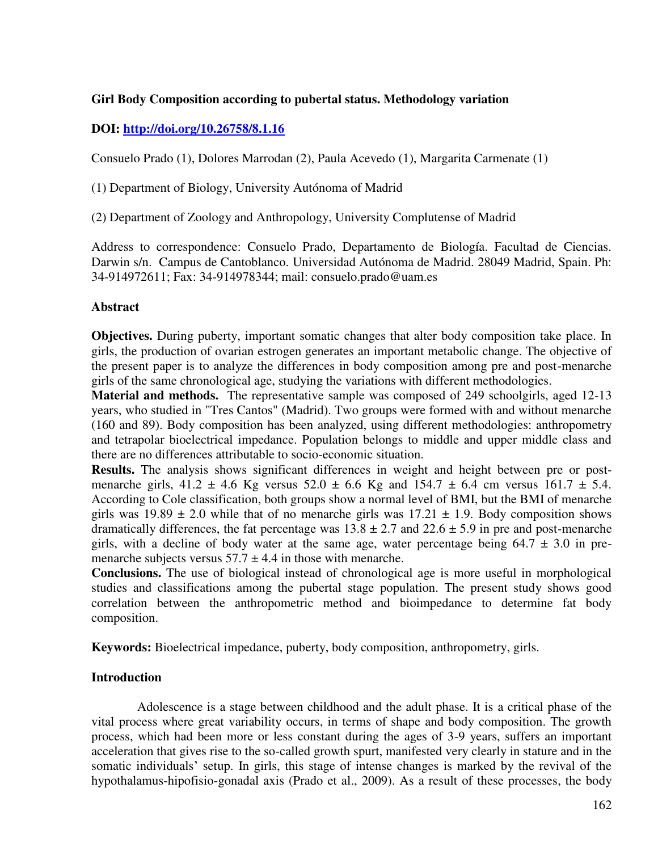### **Girl Body Composition according to pubertal status. Methodology variation**

# **DOI:<http://doi.org/10.26758/8.1.16>**

Consuelo Prado (1), Dolores Marrodan (2), Paula Acevedo (1), Margarita Carmenate (1)

(1) Department of Biology, University Autónoma of Madrid

(2) Department of Zoology and Anthropology, University Complutense of Madrid

Address to correspondence: Consuelo Prado, Departamento de Biología. Facultad de Ciencias. Darwin s/n. Campus de Cantoblanco. Universidad Autónoma de Madrid. 28049 Madrid, Spain. Ph: 34-914972611; Fax: 34-914978344; mail: consuelo.prado@uam.es

# **Abstract**

**Objectives.** During puberty, important somatic changes that alter body composition take place. In girls, the production of ovarian estrogen generates an important metabolic change. The objective of the present paper is to analyze the differences in body composition among pre and post-menarche girls of the same chronological age, studying the variations with different methodologies.

Material and methods. The representative sample was composed of 249 schoolgirls, aged 12-13 years, who studied in "Tres Cantos" (Madrid). Two groups were formed with and without menarche (160 and 89). Body composition has been analyzed, using different methodologies: anthropometry and tetrapolar bioelectrical impedance. Population belongs to middle and upper middle class and there are no differences attributable to socio-economic situation.

**Results.** The analysis shows significant differences in weight and height between pre or postmenarche girls,  $41.2 \pm 4.6$  Kg versus  $52.0 \pm 6.6$  Kg and  $154.7 \pm 6.4$  cm versus  $161.7 \pm 5.4$ . According to Cole classification, both groups show a normal level of BMI, but the BMI of menarche girls was  $19.89 \pm 2.0$  while that of no menarche girls was  $17.21 \pm 1.9$ . Body composition shows dramatically differences, the fat percentage was  $13.8 \pm 2.7$  and  $22.6 \pm 5.9$  in pre and post-menarche girls, with a decline of body water at the same age, water percentage being  $64.7 \pm 3.0$  in premenarche subjects versus  $57.7 \pm 4.4$  in those with menarche.

**Conclusions.** The use of biological instead of chronological age is more useful in morphological studies and classifications among the pubertal stage population. The present study shows good correlation between the anthropometric method and bioimpedance to determine fat body composition.

**Keywords:** Bioelectrical impedance, puberty, body composition, anthropometry, girls.

### **Introduction**

Adolescence is a stage between childhood and the adult phase. It is a critical phase of the vital process where great variability occurs, in terms of shape and body composition. The growth process, which had been more or less constant during the ages of 3-9 years, suffers an important acceleration that gives rise to the so-called growth spurt, manifested very clearly in stature and in the somatic individuals' setup. In girls, this stage of intense changes is marked by the revival of the hypothalamus-hipofisio-gonadal axis (Prado et al., 2009). As a result of these processes, the body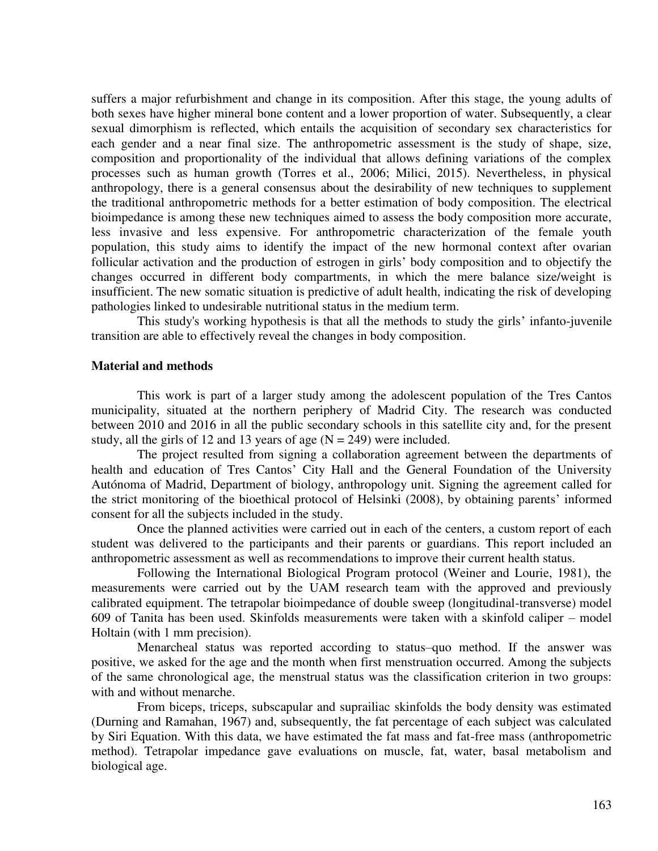suffers a major refurbishment and change in its composition. After this stage, the young adults of both sexes have higher mineral bone content and a lower proportion of water. Subsequently, a clear sexual dimorphism is reflected, which entails the acquisition of secondary sex characteristics for each gender and a near final size. The anthropometric assessment is the study of shape, size, composition and proportionality of the individual that allows defining variations of the complex processes such as human growth (Torres et al., 2006; Milici, 2015). Nevertheless, in physical anthropology, there is a general consensus about the desirability of new techniques to supplement the traditional anthropometric methods for a better estimation of body composition. The electrical bioimpedance is among these new techniques aimed to assess the body composition more accurate, less invasive and less expensive. For anthropometric characterization of the female youth population, this study aims to identify the impact of the new hormonal context after ovarian follicular activation and the production of estrogen in girls' body composition and to objectify the changes occurred in different body compartments, in which the mere balance size/weight is insufficient. The new somatic situation is predictive of adult health, indicating the risk of developing pathologies linked to undesirable nutritional status in the medium term.

This study's working hypothesis is that all the methods to study the girls' infanto-juvenile transition are able to effectively reveal the changes in body composition.

#### **Material and methods**

This work is part of a larger study among the adolescent population of the Tres Cantos municipality, situated at the northern periphery of Madrid City. The research was conducted between 2010 and 2016 in all the public secondary schools in this satellite city and, for the present study, all the girls of 12 and 13 years of age  $(N = 249)$  were included.

The project resulted from signing a collaboration agreement between the departments of health and education of Tres Cantos' City Hall and the General Foundation of the University Autónoma of Madrid, Department of biology, anthropology unit. Signing the agreement called for the strict monitoring of the bioethical protocol of Helsinki (2008), by obtaining parents' informed consent for all the subjects included in the study.

Once the planned activities were carried out in each of the centers, a custom report of each student was delivered to the participants and their parents or guardians. This report included an anthropometric assessment as well as recommendations to improve their current health status.

Following the International Biological Program protocol (Weiner and Lourie, 1981), the measurements were carried out by the UAM research team with the approved and previously calibrated equipment. The tetrapolar bioimpedance of double sweep (longitudinal-transverse) model 609 of Tanita has been used. Skinfolds measurements were taken with a skinfold caliper – model Holtain (with 1 mm precision).

Menarcheal status was reported according to status–quo method. If the answer was positive, we asked for the age and the month when first menstruation occurred. Among the subjects of the same chronological age, the menstrual status was the classification criterion in two groups: with and without menarche.

From biceps, triceps, subscapular and suprailiac skinfolds the body density was estimated (Durning and Ramahan, 1967) and, subsequently, the fat percentage of each subject was calculated by Siri Equation. With this data, we have estimated the fat mass and fat-free mass (anthropometric method). Tetrapolar impedance gave evaluations on muscle, fat, water, basal metabolism and biological age.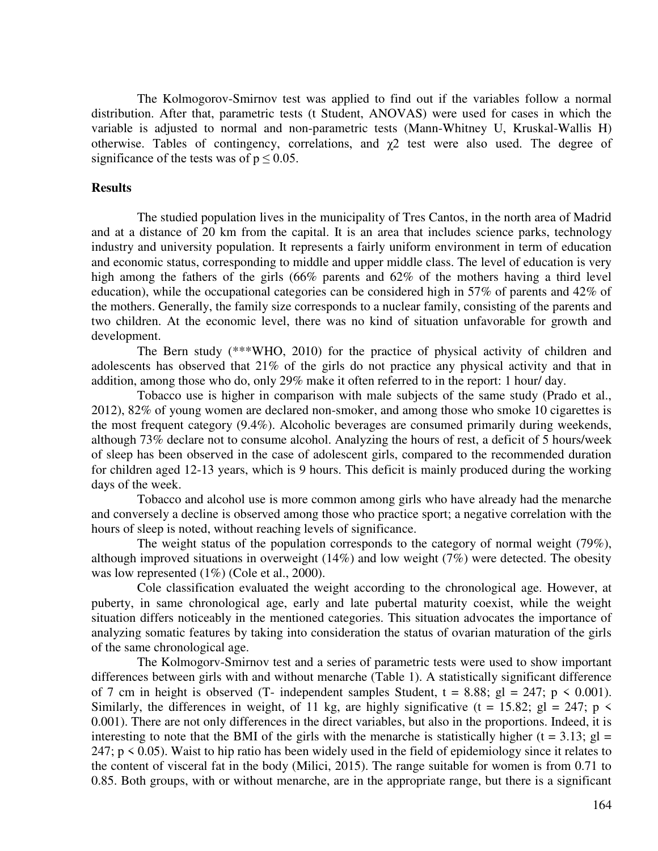The Kolmogorov-Smirnov test was applied to find out if the variables follow a normal distribution. After that, parametric tests (t Student, ANOVAS) were used for cases in which the variable is adjusted to normal and non-parametric tests (Mann-Whitney U, Kruskal-Wallis H) otherwise. Tables of contingency, correlations, and  $\gamma$ 2 test were also used. The degree of significance of the tests was of  $p \le 0.05$ .

#### **Results**

The studied population lives in the municipality of Tres Cantos, in the north area of Madrid and at a distance of 20 km from the capital. It is an area that includes science parks, technology industry and university population. It represents a fairly uniform environment in term of education and economic status, corresponding to middle and upper middle class. The level of education is very high among the fathers of the girls (66% parents and 62% of the mothers having a third level education), while the occupational categories can be considered high in 57% of parents and 42% of the mothers. Generally, the family size corresponds to a nuclear family, consisting of the parents and two children. At the economic level, there was no kind of situation unfavorable for growth and development.

The Bern study (\*\*\*WHO, 2010) for the practice of physical activity of children and adolescents has observed that 21% of the girls do not practice any physical activity and that in addition, among those who do, only 29% make it often referred to in the report: 1 hour/ day.

Tobacco use is higher in comparison with male subjects of the same study (Prado et al., 2012), 82% of young women are declared non-smoker, and among those who smoke 10 cigarettes is the most frequent category (9.4%). Alcoholic beverages are consumed primarily during weekends, although 73% declare not to consume alcohol. Analyzing the hours of rest, a deficit of 5 hours/week of sleep has been observed in the case of adolescent girls, compared to the recommended duration for children aged 12-13 years, which is 9 hours. This deficit is mainly produced during the working days of the week.

Tobacco and alcohol use is more common among girls who have already had the menarche and conversely a decline is observed among those who practice sport; a negative correlation with the hours of sleep is noted, without reaching levels of significance.

The weight status of the population corresponds to the category of normal weight (79%), although improved situations in overweight (14%) and low weight (7%) were detected. The obesity was low represented  $(1\%)$  (Cole et al., 2000).

Cole classification evaluated the weight according to the chronological age. However, at puberty, in same chronological age, early and late pubertal maturity coexist, while the weight situation differs noticeably in the mentioned categories. This situation advocates the importance of analyzing somatic features by taking into consideration the status of ovarian maturation of the girls of the same chronological age.

The Kolmogorv-Smirnov test and a series of parametric tests were used to show important differences between girls with and without menarche (Table 1). A statistically significant difference of 7 cm in height is observed (T- independent samples Student,  $t = 8.88$ ; gl = 247; p < 0.001). Similarly, the differences in weight, of 11 kg, are highly significative (t = 15.82; gl = 247; p  $\lt$ 0.001). There are not only differences in the direct variables, but also in the proportions. Indeed, it is interesting to note that the BMI of the girls with the menarche is statistically higher ( $t = 3.13$ ; gl = 247;  $p \le 0.05$ ). Waist to hip ratio has been widely used in the field of epidemiology since it relates to the content of visceral fat in the body (Milici, 2015). The range suitable for women is from 0.71 to 0.85. Both groups, with or without menarche, are in the appropriate range, but there is a significant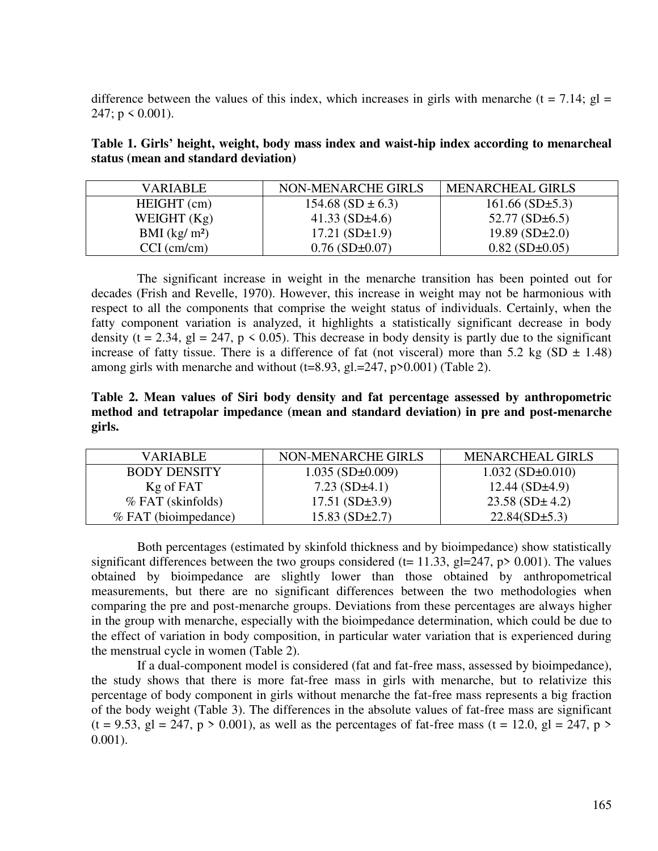difference between the values of this index, which increases in girls with menarche (t = 7.14; gl = 247;  $p \le 0.001$ ).

**Table 1. Girls' height, weight, body mass index and waist-hip index according to menarcheal status (mean and standard deviation)** 

| VARIABLE       | NON-MENARCHE GIRLS      | <b>MENARCHEAL GIRLS</b> |
|----------------|-------------------------|-------------------------|
| HEIGHT (cm)    | $154.68$ (SD $\pm$ 6.3) | $161.66$ (SD $\pm$ 5.3) |
| WEIGHT $(Kg)$  | 41.33 $(SD \pm 4.6)$    | 52.77 $(SD \pm 6.5)$    |
| BMI $(kg/m^2)$ | $17.21(SD \pm 1.9)$     | $19.89(SD \pm 2.0)$     |
| $CCI$ (cm/cm)  | $0.76$ (SD $\pm$ 0.07)  | $0.82$ (SD $\pm$ 0.05)  |

The significant increase in weight in the menarche transition has been pointed out for decades (Frish and Revelle, 1970). However, this increase in weight may not be harmonious with respect to all the components that comprise the weight status of individuals. Certainly, when the fatty component variation is analyzed, it highlights a statistically significant decrease in body density (t = 2.34, gl = 247,  $p \le 0.05$ ). This decrease in body density is partly due to the significant increase of fatty tissue. There is a difference of fat (not visceral) more than 5.2 kg (SD  $\pm$  1.48) among girls with menarche and without  $(t=8.93, g1=247, p>0.001)$  (Table 2).

**Table 2. Mean values of Siri body density and fat percentage assessed by anthropometric method and tetrapolar impedance (mean and standard deviation) in pre and post-menarche girls.** 

| VARIABLE             | NON-MENARCHE GIRLS       | <b>MENARCHEAL GIRLS</b>    |
|----------------------|--------------------------|----------------------------|
| <b>BODY DENSITY</b>  | $1.035$ (SD $\pm$ 0.009) | $1.032$ (SD $\pm$ 0.010)   |
| Kg of FAT            | 7.23 $(SD \pm 4.1)$      | 12.44(SD <sub>±</sub> 4.9) |
| $%$ FAT (skinfolds)  | $17.51(SD\pm3.9)$        | 23.58(SD <sub>±</sub> 4.2) |
| % FAT (bioimpedance) | $15.83(SD \pm 2.7)$      | $22.84(SD \pm 5.3)$        |

Both percentages (estimated by skinfold thickness and by bioimpedance) show statistically significant differences between the two groups considered (t= 11.33, gl=247, p> 0.001). The values obtained by bioimpedance are slightly lower than those obtained by anthropometrical measurements, but there are no significant differences between the two methodologies when comparing the pre and post-menarche groups. Deviations from these percentages are always higher in the group with menarche, especially with the bioimpedance determination, which could be due to the effect of variation in body composition, in particular water variation that is experienced during the menstrual cycle in women (Table 2).

If a dual-component model is considered (fat and fat-free mass, assessed by bioimpedance), the study shows that there is more fat-free mass in girls with menarche, but to relativize this percentage of body component in girls without menarche the fat-free mass represents a big fraction of the body weight (Table 3). The differences in the absolute values of fat-free mass are significant  $(t = 9.53, g] = 247, p > 0.001$ , as well as the percentages of fat-free mass  $(t = 12.0, g] = 247, p > 0.001$ 0.001).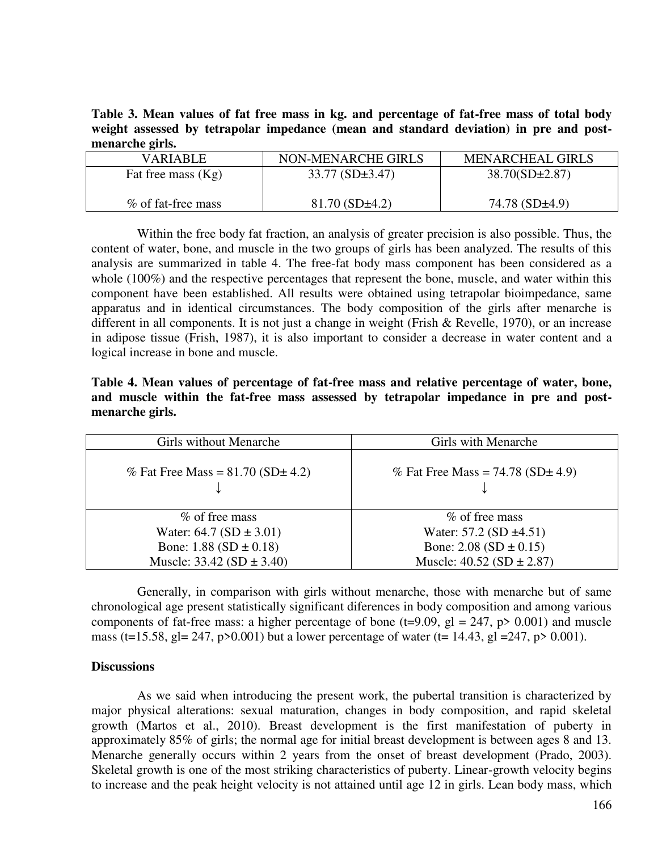**Table 3. Mean values of fat free mass in kg. and percentage of fat-free mass of total body weight assessed by tetrapolar impedance (mean and standard deviation) in pre and postmenarche girls.** 

| VARIABLE.            | NON-MENARCHE GIRLS   | <b>MENARCHEAL GIRLS</b> |
|----------------------|----------------------|-------------------------|
| Fat free mass $(Kg)$ | $33.77(SD \pm 3.47)$ | $38.70(SD \pm 2.87)$    |
| % of fat-free mass   | $81.70(SD \pm 4.2)$  | 74.78 $(SD±4.9)$        |

Within the free body fat fraction, an analysis of greater precision is also possible. Thus, the content of water, bone, and muscle in the two groups of girls has been analyzed. The results of this analysis are summarized in table 4. The free-fat body mass component has been considered as a whole (100%) and the respective percentages that represent the bone, muscle, and water within this component have been established. All results were obtained using tetrapolar bioimpedance, same apparatus and in identical circumstances. The body composition of the girls after menarche is different in all components. It is not just a change in weight (Frish & Revelle, 1970), or an increase in adipose tissue (Frish, 1987), it is also important to consider a decrease in water content and a logical increase in bone and muscle.

**Table 4. Mean values of percentage of fat-free mass and relative percentage of water, bone, and muscle within the fat-free mass assessed by tetrapolar impedance in pre and postmenarche girls.** 

| Girls without Menarche                   | Girls with Menarche                      |
|------------------------------------------|------------------------------------------|
| % Fat Free Mass = $81.70$ (SD $\pm$ 4.2) | % Fat Free Mass = $74.78$ (SD $\pm$ 4.9) |
| % of free mass                           | % of free mass                           |
| Water: $64.7 (SD \pm 3.01)$              | Water: $57.2$ (SD $\pm 4.51$ )           |
| Bone: $1.88$ (SD $\pm$ 0.18)             | Bone: $2.08$ (SD $\pm$ 0.15)             |
| Muscle: $33.42$ (SD $\pm 3.40$ )         | Muscle: $40.52(SD \pm 2.87)$             |

Generally, in comparison with girls without menarche, those with menarche but of same chronological age present statistically significant diferences in body composition and among various components of fat-free mass: a higher percentage of bone ( $t=9.09$ ,  $gl = 247$ ,  $p > 0.001$ ) and muscle mass (t=15.58, gl= 247, p>0.001) but a lower percentage of water (t= 14.43, gl = 247, p> 0.001).

#### **Discussions**

As we said when introducing the present work, the pubertal transition is characterized by major physical alterations: sexual maturation, changes in body composition, and rapid skeletal growth (Martos et al., 2010). Breast development is the first manifestation of puberty in approximately 85% of girls; the normal age for initial breast development is between ages 8 and 13. Menarche generally occurs within 2 years from the onset of breast development (Prado, 2003). Skeletal growth is one of the most striking characteristics of puberty. Linear-growth velocity begins to increase and the peak height velocity is not attained until age 12 in girls. Lean body mass, which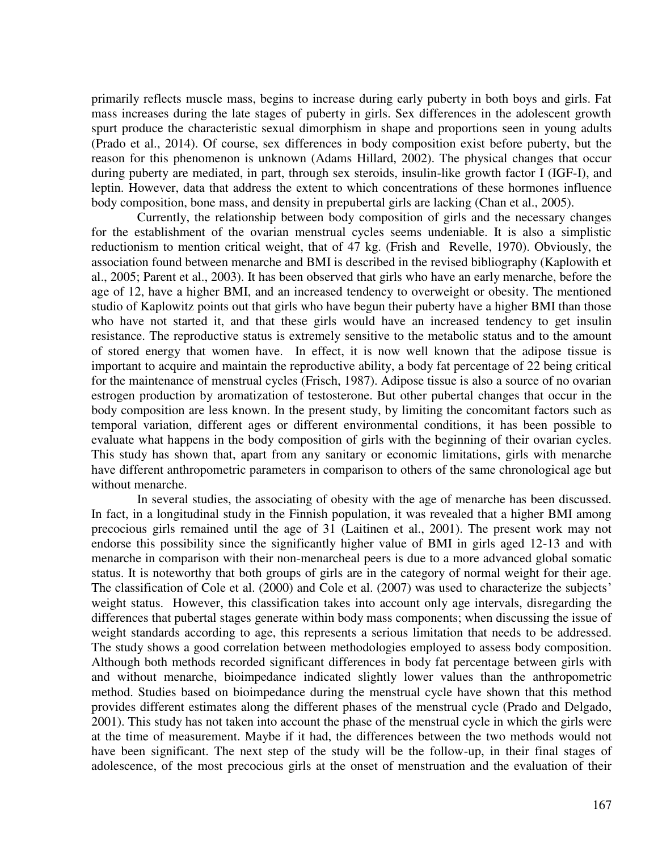primarily reflects muscle mass, begins to increase during early puberty in both boys and girls. Fat mass increases during the late stages of puberty in girls. Sex differences in the adolescent growth spurt produce the characteristic sexual dimorphism in shape and proportions seen in young adults (Prado et al., 2014). Of course, sex differences in body composition exist before puberty, but the reason for this phenomenon is unknown (Adams Hillard, 2002). The physical changes that occur during puberty are mediated, in part, through sex steroids, insulin-like growth factor I (IGF-I), and leptin. However, data that address the extent to which concentrations of these hormones influence body composition, bone mass, and density in prepubertal girls are lacking (Chan et al., 2005).

Currently, the relationship between body composition of girls and the necessary changes for the establishment of the ovarian menstrual cycles seems undeniable. It is also a simplistic reductionism to mention critical weight, that of 47 kg. (Frish and Revelle, 1970). Obviously, the association found between menarche and BMI is described in the revised bibliography (Kaplowith et al., 2005; Parent et al., 2003). It has been observed that girls who have an early menarche, before the age of 12, have a higher BMI, and an increased tendency to overweight or obesity. The mentioned studio of Kaplowitz points out that girls who have begun their puberty have a higher BMI than those who have not started it, and that these girls would have an increased tendency to get insulin resistance. The reproductive status is extremely sensitive to the metabolic status and to the amount of stored energy that women have. In effect, it is now well known that the adipose tissue is important to acquire and maintain the reproductive ability, a body fat percentage of 22 being critical for the maintenance of menstrual cycles (Frisch, 1987). Adipose tissue is also a source of no ovarian estrogen production by aromatization of testosterone. But other pubertal changes that occur in the body composition are less known. In the present study, by limiting the concomitant factors such as temporal variation, different ages or different environmental conditions, it has been possible to evaluate what happens in the body composition of girls with the beginning of their ovarian cycles. This study has shown that, apart from any sanitary or economic limitations, girls with menarche have different anthropometric parameters in comparison to others of the same chronological age but without menarche.

In several studies, the associating of obesity with the age of menarche has been discussed. In fact, in a longitudinal study in the Finnish population, it was revealed that a higher BMI among precocious girls remained until the age of 31 (Laitinen et al., 2001). The present work may not endorse this possibility since the significantly higher value of BMI in girls aged 12-13 and with menarche in comparison with their non-menarcheal peers is due to a more advanced global somatic status. It is noteworthy that both groups of girls are in the category of normal weight for their age. The classification of Cole et al. (2000) and Cole et al. (2007) was used to characterize the subjects' weight status. However, this classification takes into account only age intervals, disregarding the differences that pubertal stages generate within body mass components; when discussing the issue of weight standards according to age, this represents a serious limitation that needs to be addressed. The study shows a good correlation between methodologies employed to assess body composition. Although both methods recorded significant differences in body fat percentage between girls with and without menarche, bioimpedance indicated slightly lower values than the anthropometric method. Studies based on bioimpedance during the menstrual cycle have shown that this method provides different estimates along the different phases of the menstrual cycle (Prado and Delgado, 2001). This study has not taken into account the phase of the menstrual cycle in which the girls were at the time of measurement. Maybe if it had, the differences between the two methods would not have been significant. The next step of the study will be the follow-up, in their final stages of adolescence, of the most precocious girls at the onset of menstruation and the evaluation of their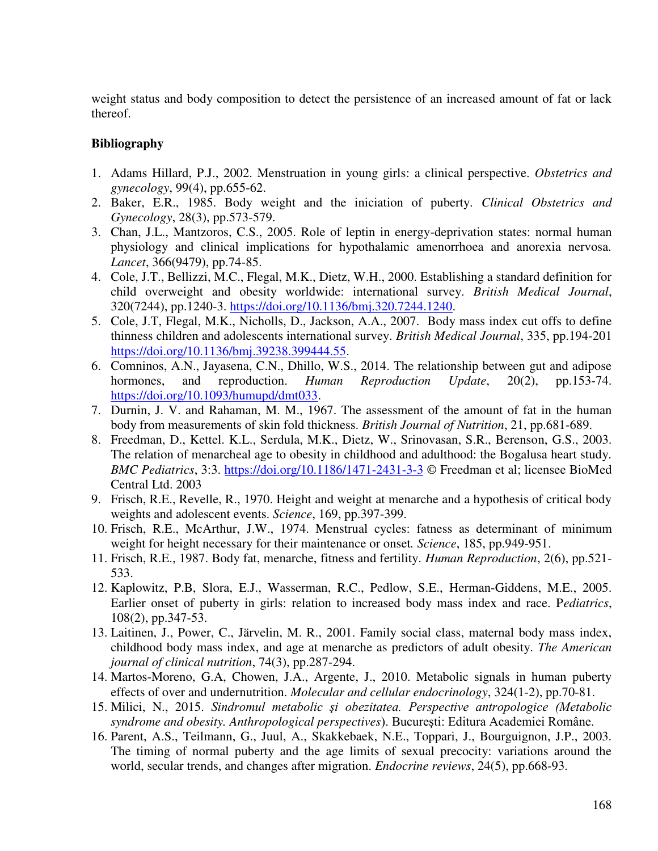weight status and body composition to detect the persistence of an increased amount of fat or lack thereof.

# **Bibliography**

- 1. Adams Hillard, P.J., 2002. Menstruation in young girls: a clinical perspective. *Obstetrics and gynecology*, 99(4), pp.655-62.
- 2. Baker, E.R., 1985. Body weight and the iniciation of puberty. *Clinical Obstetrics and Gynecology*, 28(3), pp.573-579.
- 3. Chan, J.L., Mantzoros, C.S., 2005. Role of leptin in energy-deprivation states: normal human physiology and clinical implications for hypothalamic amenorrhoea and anorexia nervosa. *Lancet*, 366(9479), pp.74-85.
- 4. Cole, J.T., Bellizzi, M.C., Flegal, M.K., Dietz, W.H., 2000. Establishing a standard definition for child overweight and obesity worldwide: international survey. *British Medical Journal*, 320(7244), pp.1240-3. [https://doi.org/10.1136/bmj.320.7244.1240.](https://doi.org/10.1136/bmj.320.7244.1240)
- 5. Cole, J.T, Flegal, M.K., Nicholls, D., Jackson, A.A., 2007. Body mass index cut offs to define thinness children and adolescents international survey. *British Medical Journal*, 335, pp.194-201 [https://doi.org/10.1136/bmj.39238.399444.55.](https://doi.org/10.1136/bmj.39238.399444.55)
- 6. Comninos, A.N., Jayasena, C.N., Dhillo, W.S., 2014. The relationship between gut and adipose hormones, and reproduction. *Human Reproduction Update*, 20(2), pp.153-74. [https://doi.org/10.1093/humupd/dmt033.](https://doi.org/10.1093/humupd/dmt033)
- 7. Durnin, J. V. and Rahaman, M. M., 1967. The assessment of the amount of fat in the human body from measurements of skin fold thickness. *British Journal of Nutrition*, 21, pp.681-689.
- 8. Freedman, D., Kettel. K.L., Serdula, M.K., Dietz, W., Srinovasan, S.R., Berenson, G.S., 2003. The relation of menarcheal age to obesity in childhood and adulthood: the Bogalusa heart study. *BMC Pediatrics*, 3:3.<https://doi.org/10.1186/1471-2431-3-3>© Freedman et al; licensee BioMed Central Ltd. 2003
- 9. Frisch, R.E., Revelle, R., 1970. Height and weight at menarche and a hypothesis of critical body weights and adolescent events. *Science*, 169, pp.397-399.
- 10. Frisch, R.E., McArthur, J.W., 1974. Menstrual cycles: fatness as determinant of minimum weight for height necessary for their maintenance or onset*. Science*, 185, pp.949-951.
- 11. Frisch, R.E., 1987. Body fat, menarche, fitness and fertility. *Human Reproduction*, 2(6), pp.521- 533.
- 12. Kaplowitz, P.B, Slora, E.J., Wasserman, R.C., Pedlow, S.E., Herman-Giddens, M.E., 2005. Earlier onset of puberty in girls: relation to increased body mass index and race. P*ediatrics*, 108(2), pp.347-53.
- 13. Laitinen, J., Power, C., Järvelin, M. R., 2001. Family social class, maternal body mass index, childhood body mass index, and age at menarche as predictors of adult obesity. *The American journal of clinical nutrition*, 74(3), pp.287-294.
- 14. Martos-Moreno, G.A, Chowen, J.A., Argente, J., 2010. Metabolic signals in human puberty effects of over and undernutrition. *Molecular and cellular endocrinology*, 324(1-2), pp.70-81.
- 15. Milici, N., 2015. *Sindromul metabolic şi obezitatea. Perspective antropologice (Metabolic syndrome and obesity. Anthropological perspectives*). Bucureşti: Editura Academiei Române.
- 16. Parent, A.S., Teilmann, G., Juul, A., Skakkebaek, N.E., Toppari, J., Bourguignon, J.P., 2003. The timing of normal puberty and the age limits of sexual precocity: variations around the world, secular trends, and changes after migration. *Endocrine reviews*, 24(5), pp.668-93.